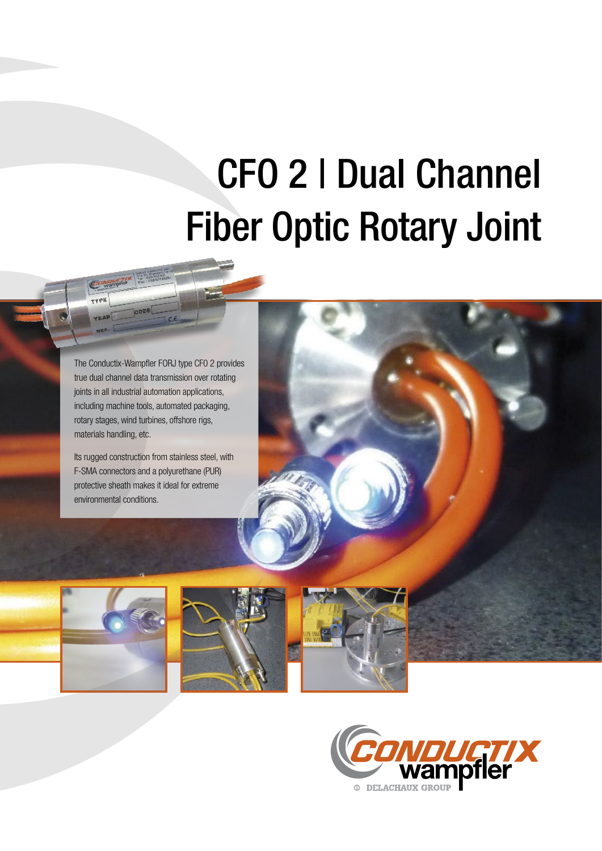## CFO 2 | Dual Channel Fiber Optic Rotary Joint

The Conductix-Wampfler FORJ type CF0 2 provides true dual channel data transmission over rotating joints in all industrial automation applications, including machine tools, automated packaging, rotary stages, wind turbines, offshore rigs, materials handling, etc.

**DUCTIX** 

Its rugged construction from stainless steel, with F-SMA connectors and a polyurethane (PUR) protective sheath makes it ideal for extreme environmental conditions.